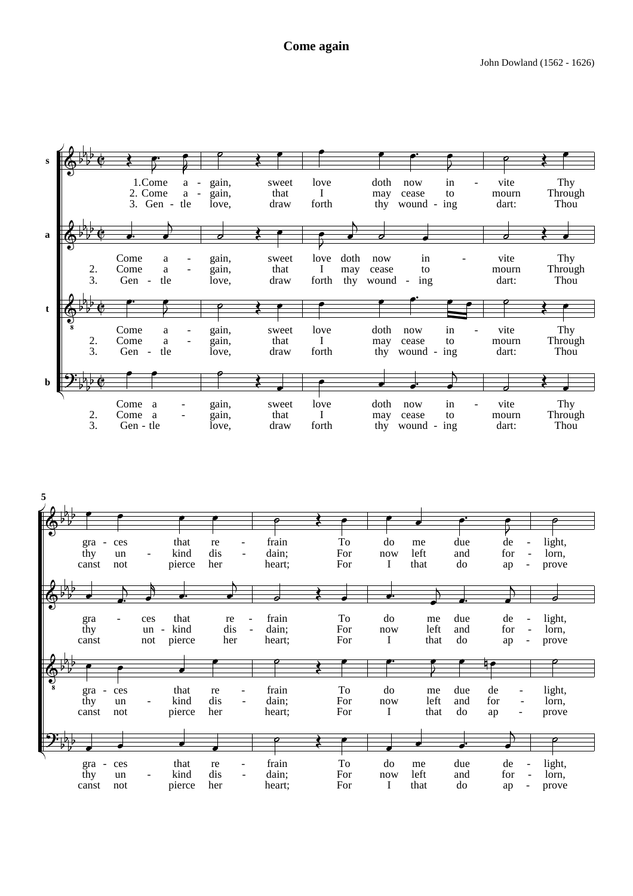## **Come again**